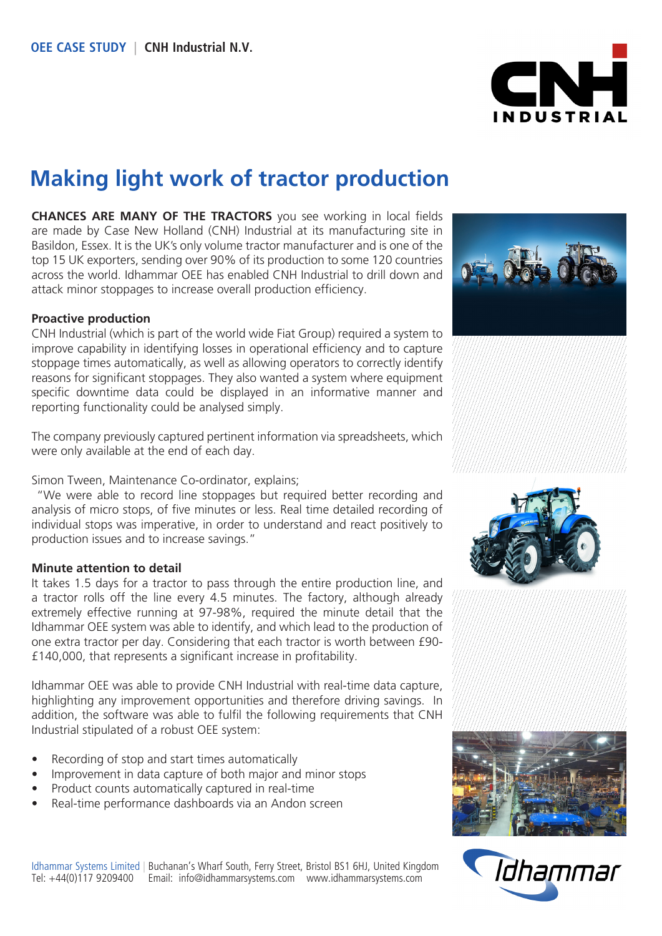

# **Making light work of tractor production**

**CHANCES ARE MANY OF THE TRACTORS** you see working in local fields are made by Case New Holland (CNH) Industrial at its manufacturing site in Basildon, Essex. It is the UK's only volume tractor manufacturer and is one of the top 15 UK exporters, sending over 90% of its production to some 120 countries across the world. Idhammar OEE has enabled CNH Industrial to drill down and attack minor stoppages to increase overall production efficiency.

#### **Proactive production**

CNH Industrial (which is part of the world wide Fiat Group) required a system to improve capability in identifying losses in operational efficiency and to capture stoppage times automatically, as well as allowing operators to correctly identify reasons for significant stoppages. They also wanted a system where equipment specific downtime data could be displayed in an informative manner and reporting functionality could be analysed simply.

The company previously captured pertinent information via spreadsheets, which were only available at the end of each day.

Simon Tween, Maintenance Co-ordinator, explains;

 "We were able to record line stoppages but required better recording and analysis of micro stops, of five minutes or less. Real time detailed recording of individual stops was imperative, in order to understand and react positively to production issues and to increase savings."

#### **Minute attention to detail**

It takes 1.5 days for a tractor to pass through the entire production line, and a tractor rolls off the line every 4.5 minutes. The factory, although already extremely effective running at 97-98%, required the minute detail that the Idhammar OEE system was able to identify, and which lead to the production of one extra tractor per day. Considering that each tractor is worth between £90- £140,000, that represents a significant increase in profitability.

Idhammar OEE was able to provide CNH Industrial with real-time data capture, highlighting any improvement opportunities and therefore driving savings. In addition, the software was able to fulfil the following requirements that CNH Industrial stipulated of a robust OEE system:

- Recording of stop and start times automatically
- Improvement in data capture of both major and minor stops
- Product counts automatically captured in real-time
- Real-time performance dashboards via an Andon screen









Idhammar Systems Limited | Buchanan's Wharf South, Ferry Street, Bristol BS1 6HJ, United Kingdom Tel: +44(0)117 9209400 Email: info@idhammarsystems.com www.idhammarsystems.com